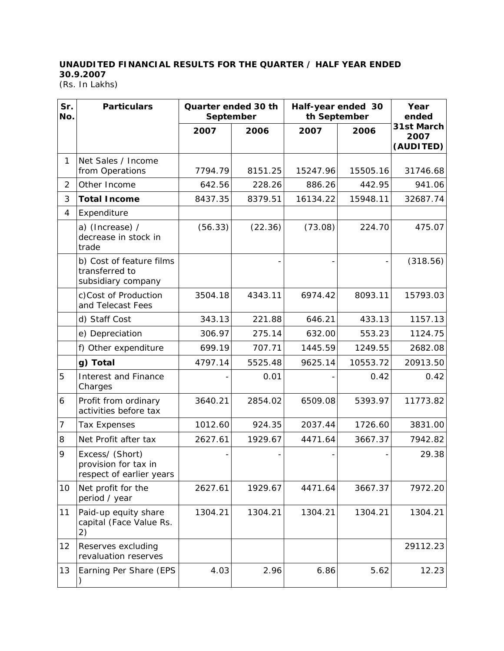## **UNAUDITED FINANCIAL RESULTS FOR THE QUARTER / HALF YEAR ENDED 30.9.2007**

(Rs. In Lakhs)

| Sr.<br>No.     | <b>Particulars</b>                                                  | Quarter ended 30 th<br>September |         | th September | Half-year ended 30 | Year<br>ended                   |
|----------------|---------------------------------------------------------------------|----------------------------------|---------|--------------|--------------------|---------------------------------|
|                |                                                                     | 2007                             | 2006    | 2007         | 2006               | 31st March<br>2007<br>(AUDITED) |
| $\mathbf{1}$   | Net Sales / Income<br>from Operations                               | 7794.79                          | 8151.25 | 15247.96     | 15505.16           | 31746.68                        |
| $\overline{2}$ | Other Income                                                        | 642.56                           | 228.26  | 886.26       | 442.95             | 941.06                          |
| 3              | <b>Total Income</b>                                                 | 8437.35                          | 8379.51 | 16134.22     | 15948.11           | 32687.74                        |
| 4              | Expenditure                                                         |                                  |         |              |                    |                                 |
|                | a) (Increase) /<br>decrease in stock in<br>trade                    | (56.33)                          | (22.36) | (73.08)      | 224.70             | 475.07                          |
|                | b) Cost of feature films<br>transferred to<br>subsidiary company    |                                  |         |              |                    | (318.56)                        |
|                | c)Cost of Production<br>and Telecast Fees                           | 3504.18                          | 4343.11 | 6974.42      | 8093.11            | 15793.03                        |
|                | d) Staff Cost                                                       | 343.13                           | 221.88  | 646.21       | 433.13             | 1157.13                         |
|                | e) Depreciation                                                     | 306.97                           | 275.14  | 632.00       | 553.23             | 1124.75                         |
|                | f) Other expenditure                                                | 699.19                           | 707.71  | 1445.59      | 1249.55            | 2682.08                         |
|                | g) Total                                                            | 4797.14                          | 5525.48 | 9625.14      | 10553.72           | 20913.50                        |
| 5              | <b>Interest and Finance</b><br>Charges                              |                                  | 0.01    |              | 0.42               | 0.42                            |
| 6              | Profit from ordinary<br>activities before tax                       | 3640.21                          | 2854.02 | 6509.08      | 5393.97            | 11773.82                        |
| 7              | <b>Tax Expenses</b>                                                 | 1012.60                          | 924.35  | 2037.44      | 1726.60            | 3831.00                         |
| 8              | Net Profit after tax                                                | 2627.61                          | 1929.67 | 4471.64      | 3667.37            | 7942.82                         |
| 9              | Excess/ (Short)<br>provision for tax in<br>respect of earlier years |                                  |         |              |                    | 29.38                           |
| 10             | Net profit for the<br>period / year                                 | 2627.61                          | 1929.67 | 4471.64      | 3667.37            | 7972.20                         |
| 11             | Paid-up equity share<br>capital (Face Value Rs.<br>2)               | 1304.21                          | 1304.21 | 1304.21      | 1304.21            | 1304.21                         |
| 12             | Reserves excluding<br>revaluation reserves                          |                                  |         |              |                    | 29112.23                        |
| 13             | Earning Per Share (EPS                                              | 4.03                             | 2.96    | 6.86         | 5.62               | 12.23                           |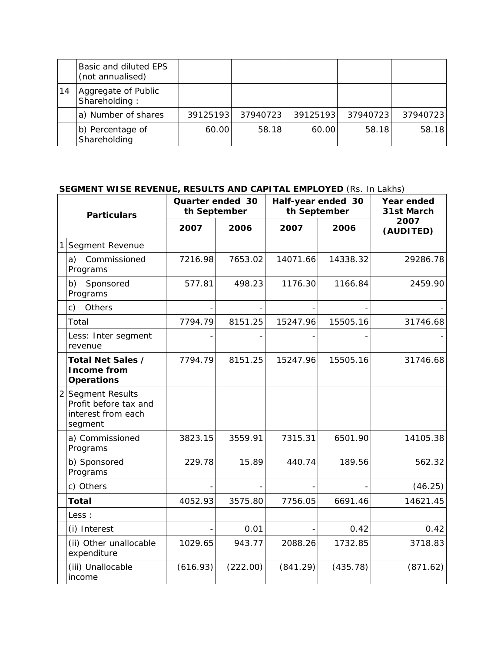|    | <b>Basic and diluted EPS</b><br>(not annualised) |          |          |          |          |           |
|----|--------------------------------------------------|----------|----------|----------|----------|-----------|
| 14 | Aggregate of Public<br>Shareholding:             |          |          |          |          |           |
|    | a) Number of shares                              | 39125193 | 37940723 | 39125193 | 37940723 | 379407231 |
|    | b) Percentage of<br>Shareholding                 | 60.00    | 58.18    | 60.00    | 58.18    | 58.18     |

## **SEGMENT WISE REVENUE, RESULTS AND CAPITAL EMPLOYED** (Rs. In Lakhs)

| <b>Particulars</b> |                                                                             | Quarter ended 30<br>th September |          | Half-year ended 30<br>th September |          | Year ended<br>31st March |  |
|--------------------|-----------------------------------------------------------------------------|----------------------------------|----------|------------------------------------|----------|--------------------------|--|
|                    |                                                                             | 2007                             | 2006     | 2007                               | 2006     | 2007<br>(AUDITED)        |  |
| 1                  | Segment Revenue                                                             |                                  |          |                                    |          |                          |  |
|                    | Commissioned<br>a)<br>Programs                                              | 7216.98                          | 7653.02  | 14071.66                           | 14338.32 | 29286.78                 |  |
|                    | Sponsored<br>b)<br>Programs                                                 | 577.81                           | 498.23   | 1176.30                            | 1166.84  | 2459.90                  |  |
|                    | Others<br>c)                                                                |                                  |          |                                    |          |                          |  |
|                    | Total                                                                       | 7794.79                          | 8151.25  | 15247.96                           | 15505.16 | 31746.68                 |  |
|                    | Less: Inter segment<br>revenue                                              |                                  |          |                                    |          |                          |  |
|                    | Total Net Sales /<br><b>Income from</b><br><b>Operations</b>                | 7794.79                          | 8151.25  | 15247.96                           | 15505.16 | 31746.68                 |  |
|                    | 2 Segment Results<br>Profit before tax and<br>interest from each<br>segment |                                  |          |                                    |          |                          |  |
|                    | a) Commissioned<br>Programs                                                 | 3823.15                          | 3559.91  | 7315.31                            | 6501.90  | 14105.38                 |  |
|                    | b) Sponsored<br>Programs                                                    | 229.78                           | 15.89    | 440.74                             | 189.56   | 562.32                   |  |
|                    | c) Others                                                                   |                                  |          |                                    |          | (46.25)                  |  |
|                    | <b>Total</b>                                                                | 4052.93                          | 3575.80  | 7756.05                            | 6691.46  | 14621.45                 |  |
|                    | Less :                                                                      |                                  |          |                                    |          |                          |  |
|                    | (i) Interest                                                                |                                  | 0.01     |                                    | 0.42     | 0.42                     |  |
|                    | (ii) Other unallocable<br>expenditure                                       | 1029.65                          | 943.77   | 2088.26                            | 1732.85  | 3718.83                  |  |
|                    | (iii) Unallocable<br>income                                                 | (616.93)                         | (222.00) | (841.29)                           | (435.78) | (871.62)                 |  |